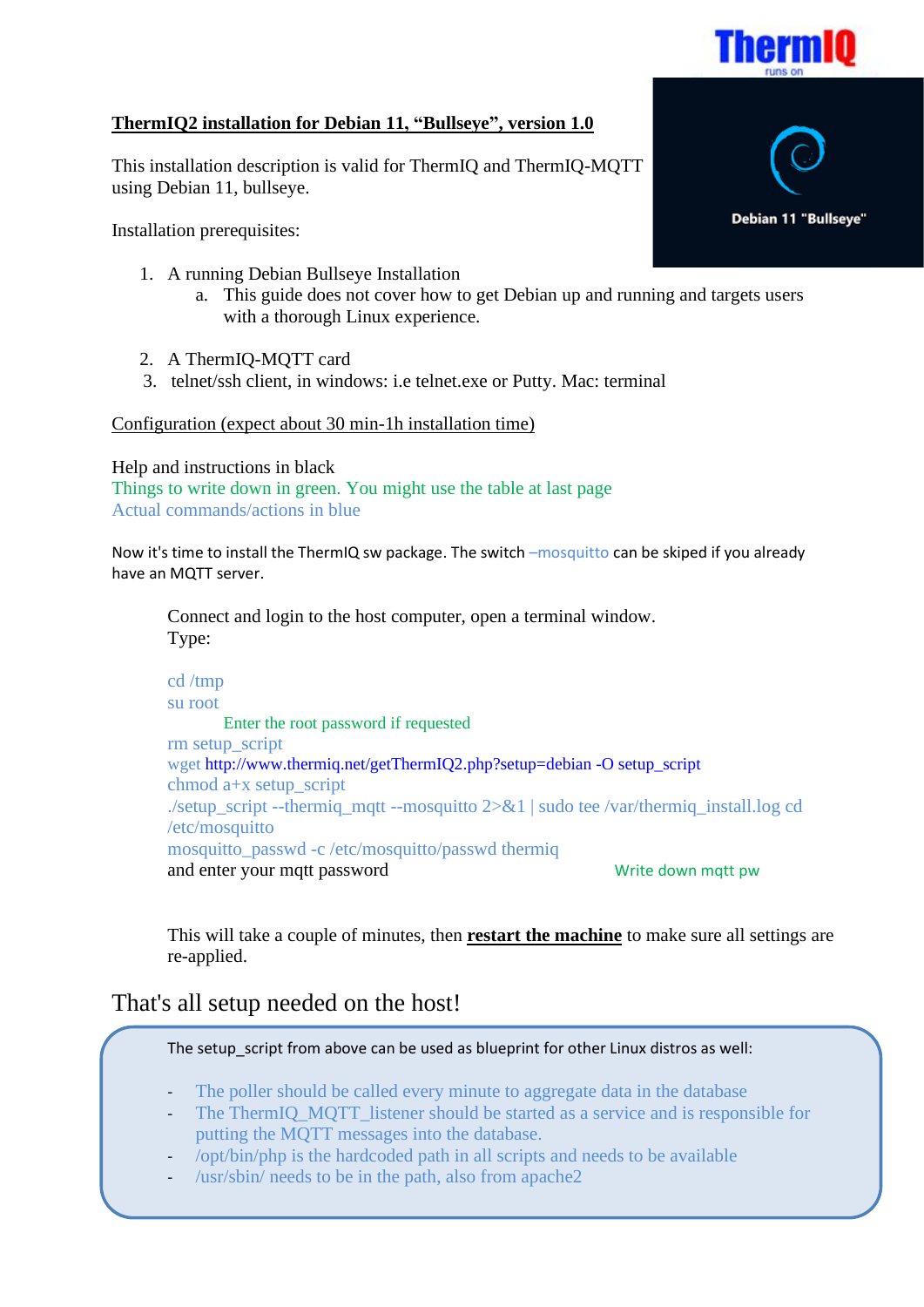

## **ThermIQ2 installation for Debian 11, "Bullseye", version 1.0**

This installation description is valid for ThermIQ and ThermIQ-MQTT using Debian 11, bullseye.

Installation prerequisites:

- 1. A running Debian Bullseye Installation
	- a. This guide does not cover how to get Debian up and running and targets users with a thorough Linux experience.
- 2. A ThermIQ-MQTT card
- 3. telnet/ssh client, in windows: i.e telnet.exe or Putty. Mac: terminal

Configuration (expect about 30 min-1h installation time)

Help and instructions in black

Things to write down in green. You might use the table at last page Actual commands/actions in blue

Now it's time to install the ThermIQ sw package. The switch –mosquitto can be skiped if you already have an MQTT server.

Connect and login to the host computer, open a terminal window. Type:

cd /tmp su root Enter the root password if requested rm setup\_script wget http://www.thermiq.net/getThermIQ2.php?setup=debian -O setup\_script chmod a+x setup\_script ./setup\_script --thermiq\_mqtt --mosquitto 2>&1 | sudo tee /var/thermiq\_install.log cd /etc/mosquitto mosquitto passwd -c /etc/mosquitto/passwd thermiq and enter your mqtt password Write down mqtt pw

This will take a couple of minutes, then **restart the machine** to make sure all settings are re-applied.

## That's all setup needed on the host!

The setup script from above can be used as blueprint for other Linux distros as well:

- The poller should be called every minute to aggregate data in the database
- The ThermIQ MOTT listener should be started as a service and is responsible for putting the MQTT messages into the database.
- /opt/bin/php is the hardcoded path in all scripts and needs to be available
- /usr/sbin/ needs to be in the path, also from apache2

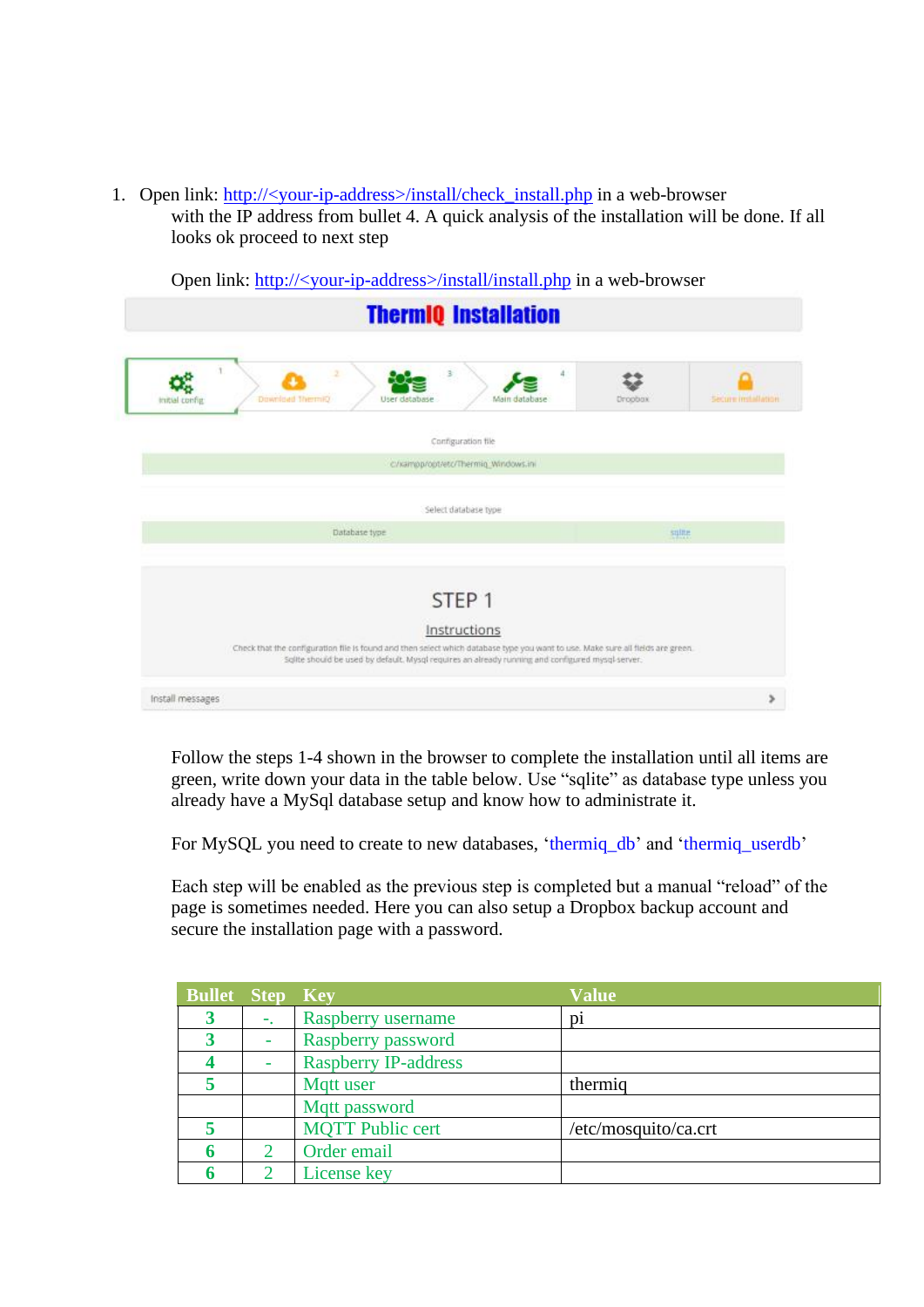1. Open link: http://<your-ip-address>/install/check\_install.php in a web-browser

with the IP address from bullet 4. A quick analysis of the installation will be done. If all looks ok proceed to next step

Open link: http://<your-ip-address>/install/install.php in a web-browser

|                  | <b>ThermIQ Installation</b>                                                                                                                                                                                                                         |                     |
|------------------|-----------------------------------------------------------------------------------------------------------------------------------------------------------------------------------------------------------------------------------------------------|---------------------|
| Initial config.  | $\mathbb{R}$<br>4<br>Download Thermit)<br>User database<br>Main database<br><b>Uroobox</b>                                                                                                                                                          | Secure installation |
|                  | Configuration file                                                                                                                                                                                                                                  |                     |
|                  | c/kaimpp/opt/etc/Thermig_Windows.ini                                                                                                                                                                                                                |                     |
|                  | Select database type                                                                                                                                                                                                                                |                     |
|                  | Database type<br>suine                                                                                                                                                                                                                              |                     |
|                  |                                                                                                                                                                                                                                                     |                     |
|                  | STEP <sub>1</sub>                                                                                                                                                                                                                                   |                     |
|                  | Instructions<br>Check that the configuration file is found and then select which database type you want to use. Make sure all fields are green.<br>Sollte should be used by default. Mysql requires an already running and configured mysql-server. |                     |
| Install messages |                                                                                                                                                                                                                                                     |                     |

Follow the steps 1-4 shown in the browser to complete the installation until all items are green, write down your data in the table below. Use "sqlite" as database type unless you already have a MySql database setup and know how to administrate it.

For MySQL you need to create to new databases, 'thermiq\_db' and 'thermiq\_userdb'

Each step will be enabled as the previous step is completed but a manual "reload" of the page is sometimes needed. Here you can also setup a Dropbox backup account and secure the installation page with a password.

| <b>Bullet Step Key</b> |    |                             | <b>Value</b>         |  |
|------------------------|----|-----------------------------|----------------------|--|
|                        | Η. | Raspberry username          | $\mathbf{D}$         |  |
|                        |    | Raspberry password          |                      |  |
|                        |    | <b>Raspberry IP-address</b> |                      |  |
|                        |    | Mqtt user                   | thermig              |  |
|                        |    | Mqtt password               |                      |  |
|                        |    | <b>MQTT Public cert</b>     | /etc/mosquito/ca.crt |  |
|                        |    | Order email                 |                      |  |
|                        |    | License key                 |                      |  |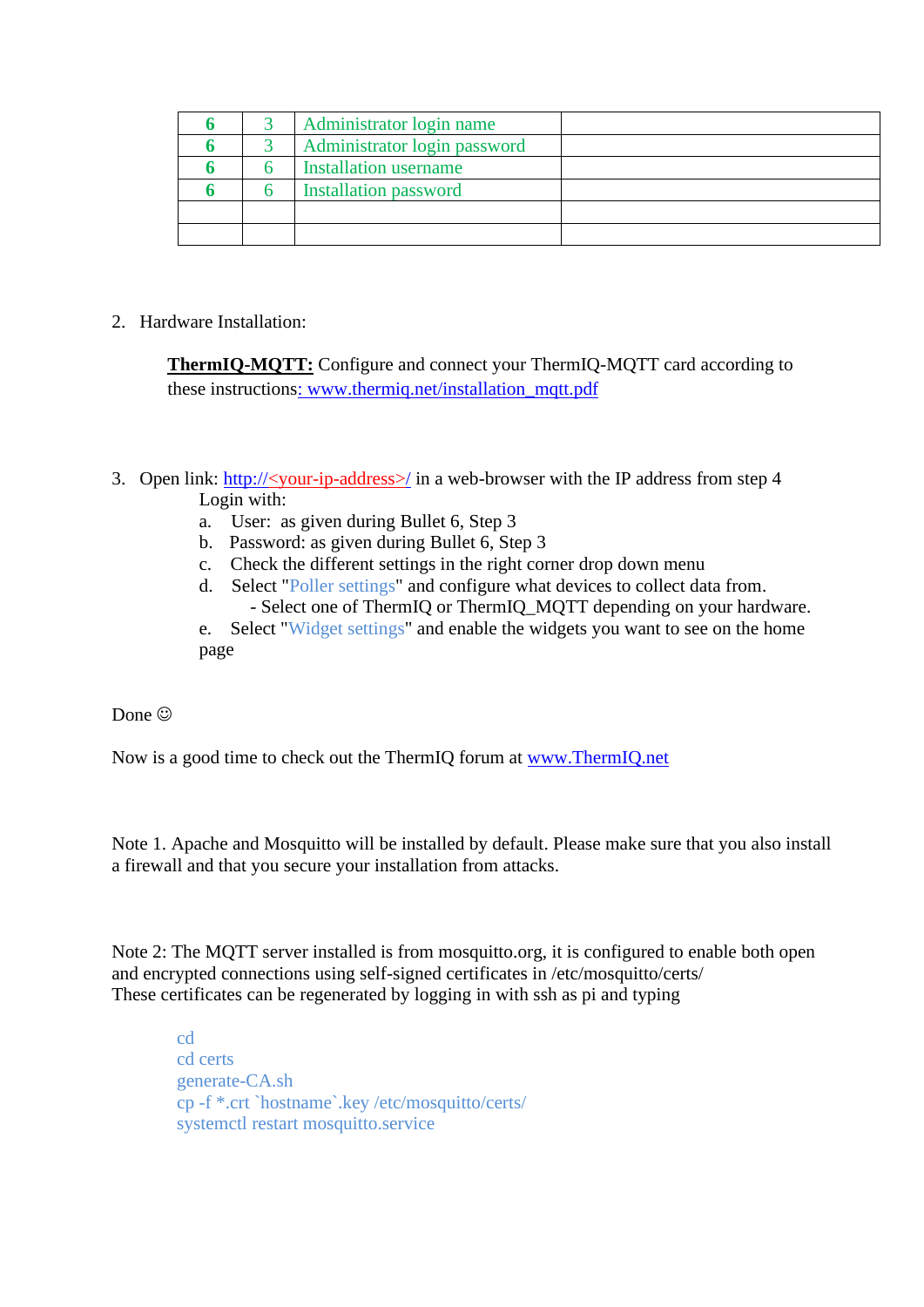|  | Administrator login name     |  |
|--|------------------------------|--|
|  | Administrator login password |  |
|  | <b>Installation username</b> |  |
|  | <b>Installation password</b> |  |
|  |                              |  |
|  |                              |  |

2. Hardware Installation:

**ThermIQ-MQTT:** Configure and connect your ThermIQ-MQTT card according to these instructions: www.thermiq.net/installation\_mqtt.pdf

- 3. Open link:  $\frac{http://your-ip-address>}/$  in a web-browser with the IP address from step 4 Login with:
	- a. User: as given during Bullet 6, Step 3
	- b. Password: as given during Bullet 6, Step 3
	- c. Check the different settings in the right corner drop down menu
	- d. Select "Poller settings" and configure what devices to collect data from. - Select one of ThermIQ or ThermIQ\_MQTT depending on your hardware.

e. Select "Widget settings" and enable the widgets you want to see on the home page

Done  $\odot$ 

Now is a good time to check out the ThermIQ forum at [www.ThermIQ.net](http://www.thermiq.net/?post_type=forum)

Note 1. Apache and Mosquitto will be installed by default. Please make sure that you also install a firewall and that you secure your installation from attacks.

Note 2: The MQTT server installed is from mosquitto.org, it is configured to enable both open and encrypted connections using self-signed certificates in /etc/mosquitto/certs/ These certificates can be regenerated by logging in with ssh as pi and typing

 cd cd certs generate-CA.sh cp -f \*.crt `hostname`.key /etc/mosquitto/certs/ systemctl restart mosquitto.service